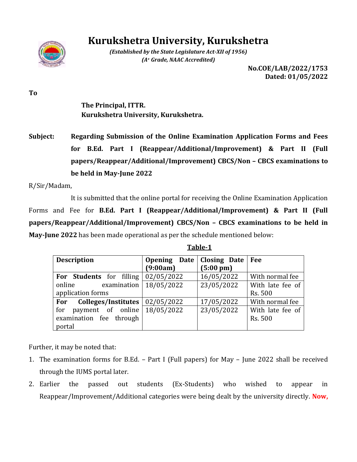

## **Kurukshetra University, Kurukshetra**

*(Established by the State Legislature Act-XII of 1956) (A<sup>+</sup> Grade, NAAC Accredited)*

> **No.COE/LAB/2022/1753 Dated: 01/05/2022**

**To**

**The Principal, ITTR. Kurukshetra University, Kurukshetra.**

**Subject: Regarding Submission of the Online Examination Application Forms and Fees for B.Ed. Part I (Reappear/Additional/Improvement) & Part II (Full papers/Reappear/Additional/Improvement) CBCS/Non – CBCS examinations to be held in May-June 2022** 

R/Sir/Madam,

It is submitted that the online portal for receiving the Online Examination Application Forms and Fee for **B.Ed. Part I (Reappear/Additional/Improvement) & Part II (Full papers/Reappear/Additional/Improvement) CBCS/Non – CBCS examinations to be held in May-June 2022** has been made operational as per the schedule mentioned below:

| <b>Description</b>                               | Opening Date   Closing Date |                     | Fee              |
|--------------------------------------------------|-----------------------------|---------------------|------------------|
|                                                  | (9:00am)                    | $(5:00 \text{ pm})$ |                  |
| For Students for filling                         | 02/05/2022                  | 16/05/2022          | With normal fee  |
| examination<br>online                            | 18/05/2022                  | 23/05/2022          | With late fee of |
| application forms                                |                             |                     | Rs. 500          |
| For Colleges/Institutes $\vert 02/05/2022 \vert$ |                             | 17/05/2022          | With normal fee  |
| payment of online $18/05/2022$<br>for            |                             | 23/05/2022          | With late fee of |
| examination fee through                          |                             |                     | Rs. 500          |
| portal                                           |                             |                     |                  |

## **Table-1**

Further, it may be noted that:

- 1. The examination forms for B.Ed. Part I (Full papers) for May June 2022 shall be received through the IUMS portal later.
- 2. Earlier the passed out students (Ex-Students) who wished to appear in Reappear/Improvement/Additional categories were being dealt by the university directly. **Now,**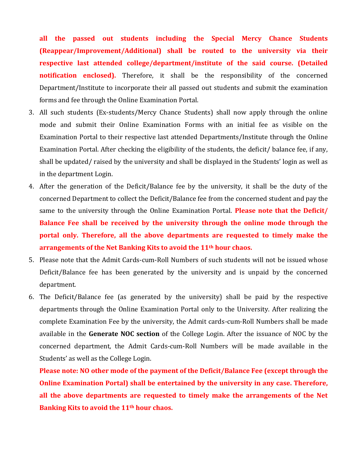**all the passed out students including the Special Mercy Chance Students (Reappear/Improvement/Additional) shall be routed to the university via their respective last attended college/department/institute of the said course. (Detailed notification enclosed).** Therefore, it shall be the responsibility of the concerned Department/Institute to incorporate their all passed out students and submit the examination forms and fee through the Online Examination Portal.

- 3. All such students (Ex-students/Mercy Chance Students) shall now apply through the online mode and submit their Online Examination Forms with an initial fee as visible on the Examination Portal to their respective last attended Departments/Institute through the Online Examination Portal. After checking the eligibility of the students, the deficit/ balance fee, if any, shall be updated/ raised by the university and shall be displayed in the Students' login as well as in the department Login.
- 4. After the generation of the Deficit/Balance fee by the university, it shall be the duty of the concerned Department to collect the Deficit/Balance fee from the concerned student and pay the same to the university through the Online Examination Portal. **Please note that the Deficit/ Balance Fee shall be received by the university through the online mode through the portal only. Therefore, all the above departments are requested to timely make the arrangements of the Net Banking Kits to avoid the 11th hour chaos.**
- 5. Please note that the Admit Cards-cum-Roll Numbers of such students will not be issued whose Deficit/Balance fee has been generated by the university and is unpaid by the concerned department.
- 6. The Deficit/Balance fee (as generated by the university) shall be paid by the respective departments through the Online Examination Portal only to the University. After realizing the complete Examination Fee by the university, the Admit cards-cum-Roll Numbers shall be made available in the **Generate NOC section** of the College Login. After the issuance of NOC by the concerned department, the Admit Cards-cum-Roll Numbers will be made available in the Students' as well as the College Login.

**Please note: NO other mode of the payment of the Deficit/Balance Fee (except through the Online Examination Portal) shall be entertained by the university in any case. Therefore, all the above departments are requested to timely make the arrangements of the Net Banking Kits to avoid the 11th hour chaos.**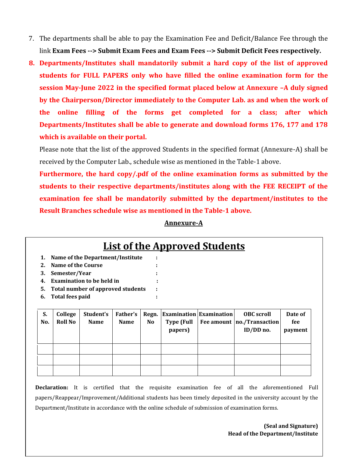- 7. The departments shall be able to pay the Examination Fee and Deficit/Balance Fee through the link **Exam Fees --> Submit Exam Fees and Exam Fees --> Submit Deficit Fees respectively.**
- **8. Departments/Institutes shall mandatorily submit a hard copy of the list of approved students for FULL PAPERS only who have filled the online examination form for the session May-June 2022 in the specified format placed below at Annexure –A duly signed by the Chairperson/Director immediately to the Computer Lab. as and when the work of the online filling of the forms get completed for a class; after which Departments/Institutes shall be able to generate and download forms 176, 177 and 178 which is available on their portal.**

Please note that the list of the approved Students in the specified format (Annexure-A) shall be received by the Computer Lab., schedule wise as mentioned in the Table-1 above.

**Furthermore, the hard copy/.pdf of the online examination forms as submitted by the students to their respective departments/institutes along with the FEE RECEIPT of the examination fee shall be mandatorily submitted by the department/institutes to the Result Branches schedule wise as mentioned in the Table-1 above.**

## **Annexure-A**

| 1.      |                        | Name of the Department/Institute  |                 | ÷              |                   |                                |                              |         |  |  |  |  |
|---------|------------------------|-----------------------------------|-----------------|----------------|-------------------|--------------------------------|------------------------------|---------|--|--|--|--|
| $2_{-}$ | Name of the Course     |                                   |                 | ٠              |                   |                                |                              |         |  |  |  |  |
| 3.      | Semester/Year          |                                   |                 |                |                   |                                |                              |         |  |  |  |  |
| 4.      |                        | <b>Examination to be held in</b>  |                 |                |                   |                                |                              |         |  |  |  |  |
| 5.      |                        | Total number of approved students |                 |                |                   |                                |                              |         |  |  |  |  |
| 6.      | <b>Total fees paid</b> |                                   |                 | ٠<br>٠         |                   |                                |                              |         |  |  |  |  |
|         |                        |                                   |                 |                |                   |                                |                              |         |  |  |  |  |
| S.      | College                | Student's                         | <b>Father's</b> | Regn.          |                   | <b>Examination Examination</b> | <b>OBC</b> scroll            | Date of |  |  |  |  |
| No.     | Roll No                | <b>Name</b>                       | <b>Name</b>     | N <sub>o</sub> | <b>Type (Full</b> |                                | Fee amount   no./Transaction | fee     |  |  |  |  |
|         |                        |                                   |                 |                | papers)           |                                | $ID/DD$ no.                  | payment |  |  |  |  |
|         |                        |                                   |                 |                |                   |                                |                              |         |  |  |  |  |
|         |                        |                                   |                 |                |                   |                                |                              |         |  |  |  |  |
|         |                        |                                   |                 |                |                   |                                |                              |         |  |  |  |  |
|         |                        |                                   |                 |                |                   |                                |                              |         |  |  |  |  |

**Declaration:** It is certified that the requisite examination fee of all the aforementioned Full papers/Reappear/Improvement/Additional students has been timely deposited in the university account by the Department/Institute in accordance with the online schedule of submission of examination forms.

> **(Seal and Signature) Head of the Department/Institute**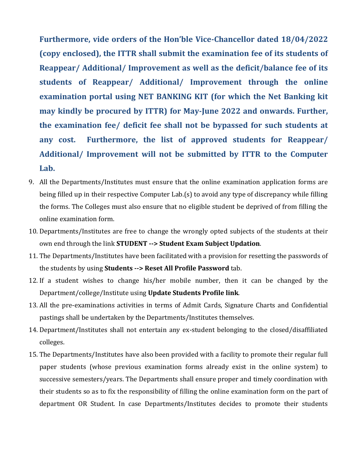**Furthermore, vide orders of the Hon'ble Vice-Chancellor dated 18/04/2022 (copy enclosed), the ITTR shall submit the examination fee of its students of Reappear/ Additional/ Improvement as well as the deficit/balance fee of its students of Reappear/ Additional/ Improvement through the online examination portal using NET BANKING KIT (for which the Net Banking kit may kindly be procured by ITTR) for May-June 2022 and onwards. Further, the examination fee/ deficit fee shall not be bypassed for such students at any cost. Furthermore, the list of approved students for Reappear/ Additional/ Improvement will not be submitted by ITTR to the Computer Lab.** 

- 9. All the Departments/Institutes must ensure that the online examination application forms are being filled up in their respective Computer Lab.(s) to avoid any type of discrepancy while filling the forms. The Colleges must also ensure that no eligible student be deprived of from filling the online examination form.
- 10. Departments/Institutes are free to change the wrongly opted subjects of the students at their own end through the link **STUDENT --> Student Exam Subject Updation**.
- 11. The Departments/Institutes have been facilitated with a provision for resetting the passwords of the students by using **Students --> Reset All Profile Password** tab.
- 12. If a student wishes to change his/her mobile number, then it can be changed by the Department/college/Institute using **Update Students Profile link**.
- 13. All the pre-examinations activities in terms of Admit Cards, Signature Charts and Confidential pastings shall be undertaken by the Departments/Institutes themselves.
- 14. Department/Institutes shall not entertain any ex-student belonging to the closed/disaffiliated colleges.
- 15. The Departments/Institutes have also been provided with a facility to promote their regular full paper students (whose previous examination forms already exist in the online system) to successive semesters/years. The Departments shall ensure proper and timely coordination with their students so as to fix the responsibility of filling the online examination form on the part of department OR Student. In case Departments/Institutes decides to promote their students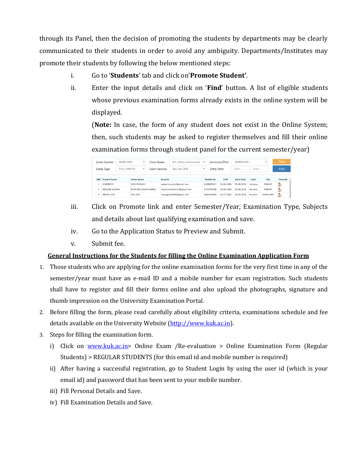through its Panel, then the decision of promoting the students by departments may be clearly communicated to their students in order to avoid any ambiguity. Departments/Institutes may promote their students by following the below mentioned steps:

- i. Go to '**Students**' tab and click on'**Promote Student'**.
- ii. Enter the input details and click on '**Find**' button. A list of eligible students whose previous examination forms already exists in the online system will be displayed.

(**Note:** In case, the form of any student does not exist in the Online System; then, such students may be asked to register themselves and fill their online examination forms through student panel for the current semester/year)

|                  | <b>SEMESTER</b><br>Class Name<br><b>Exam System</b><br>۰ |                         |  | Semester/Part<br>B.A. (Mass Communicati-<br>$\overline{\mathbf{v}}$ |                            |                           |            | SEMESTER-1        |            |                   | Clear        |                |         |
|------------------|----------------------------------------------------------|-------------------------|--|---------------------------------------------------------------------|----------------------------|---------------------------|------------|-------------------|------------|-------------------|--------------|----------------|---------|
| <b>Exam Type</b> |                                                          | <b>FULL PAPERS</b><br>v |  | <b>Exam Session</b>                                                 |                            | Nov-Dec 2018              |            | <b>Entry Date</b> |            | Select<br>Select  |              |                | Find    |
| SN#              | <b>Student Name</b>                                      | <b>Father Name</b>      |  |                                                                     | <b>Email Id</b>            |                           |            | <b>Mobile No</b>  | <b>DOB</b> | <b>Entry Date</b> | <b>State</b> | City           | Promote |
|                  | <b>HIMENDER</b>                                          | <b>HARI PARKASH</b>     |  |                                                                     |                            | vadavhimender@gmail.com   | 8168009537 |                   | 25-06-1998 | 29-08-2018        | Harvana      | <b>PANIPAT</b> | ◠<br>M  |
|                  | <b>NEELESH MISHRA</b>                                    |                         |  | <b>BIDYA BHUSHAN MISHRA</b>                                         | neeleshmishra417@gmail.com |                           |            | 9729783408        | 10-05-1998 | 29-08-2018        | Harvana      | <b>PANIPAT</b> | 20      |
|                  | <b>NEERAJ GIRI</b>                                       | <b>ANIL GIRI</b>        |  |                                                                     |                            | neeraigiri20000@gmail.com |            | 9812823829        | 22-07-2000 | 29-08-2018        | Harvana      | SAMALKHA       | ◠<br>20 |

- iii. Click on Promote link and enter Semester/Year, Examination Type, Subjects and details about last qualifying examination and save.
- iv. Go to the Application Status to Preview and Submit.
- v. Submit fee.

## **General Instructions for the Students for filling the Online Examination Application Form**

- 1. Those students who are applying for the online examination forms for the very first time in any of the semester/year must have an e-mail ID and a mobile number for exam registration. Such students shall have to register and fill their forms online and also upload the photographs, signature and thumb impression on the University Examination Portal.
- 2. Before filling the form, please read carefully about eligibility criteria, examinations schedule and fee details available on the University Website [\(http://www.kuk.ac.in\)](http://www.kuk.ac.in/).
- 3. Steps for filling the examination form.
	- i) Click on [www.kuk.ac.in>](http://www.kuk.ac.in/) Online Exam / Re-evaluation > Online Examination Form (Regular Students) > REGULAR STUDENTS (for this email id and mobile number is required)
	- ii) After having a successful registration, go to Student Login by using the user id (which is your email id) and password that has been sent to your mobile number.
	- iii) Fill Personal Details and Save.
	- iv) Fill Examination Details and Save.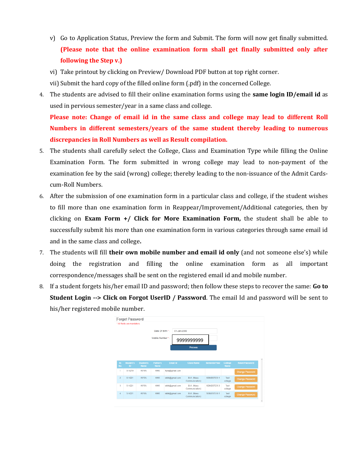- v) Go to Application Status, Preview the form and Submit. The form will now get finally submitted. **(Please note that the online examination form shall get finally submitted only after following the Step v.)**
- vi) Take printout by clicking on Preview/ Download PDF button at top right corner.
- vii) Submit the hard copy of the filled online form (.pdf) in the concerned College.
- 4. The students are advised to fill their online examination forms using the **same login ID/email id** as used in pervious semester/year in a same class and college.

**Please note: Change of email id in the same class and college may lead to different Roll Numbers in different semesters/years of the same student thereby leading to numerous discrepancies in Roll Numbers as well as Result compilation.**

- 5. The students shall carefully select the College, Class and Examination Type while filling the Online Examination Form. The form submitted in wrong college may lead to non-payment of the examination fee by the said (wrong) college; thereby leading to the non-issuance of the Admit Cardscum-Roll Numbers.
- 6. After the submission of one examination form in a particular class and college, if the student wishes to fill more than one examination form in Reappear/Improvement/Additional categories, then by clicking on **Exam Form +/ Click for More Examination Form,** the student shall be able to successfully submit his more than one examination form in various categories through same email id and in the same class and college**.**
- 7. The students will fill **their own mobile number and email id only** (and not someone else's) while doing the registration and filling the online examination form as all important correspondence/messages shall be sent on the registered email id and mobile number.
- 8. If a student forgets his/her email ID and password; then follow these steps to recover the same: **Go to Student Login --> Click on Forgot UserID / Password**. The email Id and password will be sent to his/her registered mobile number.